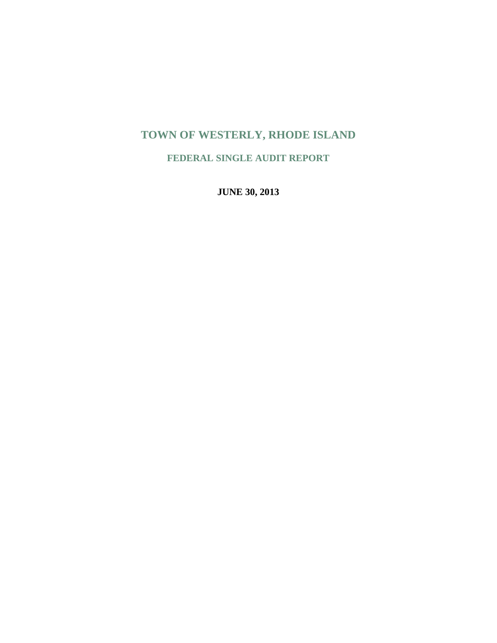# **TOWN OF WESTERLY, RHODE ISLAND**

**FEDERAL SINGLE AUDIT REPORT** 

**JUNE 30, 2013**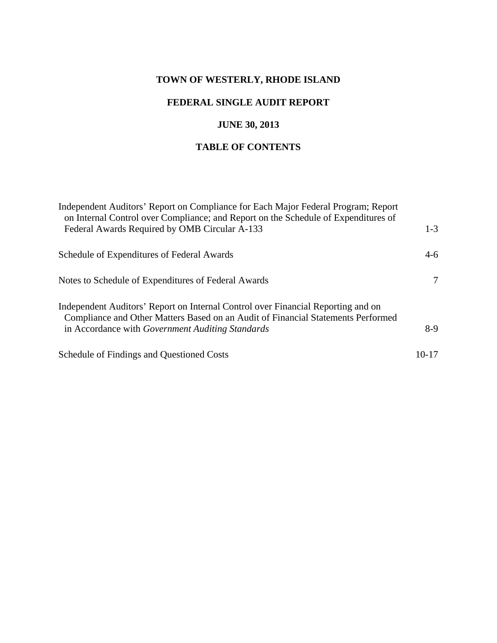# **TOWN OF WESTERLY, RHODE ISLAND**

# **FEDERAL SINGLE AUDIT REPORT**

# **JUNE 30, 2013**

# **TABLE OF CONTENTS**

| Independent Auditors' Report on Compliance for Each Major Federal Program; Report<br>on Internal Control over Compliance; and Report on the Schedule of Expenditures of |           |
|-------------------------------------------------------------------------------------------------------------------------------------------------------------------------|-----------|
| Federal Awards Required by OMB Circular A-133                                                                                                                           | $1 - 3$   |
| Schedule of Expenditures of Federal Awards                                                                                                                              | $4-6$     |
| Notes to Schedule of Expenditures of Federal Awards                                                                                                                     | 7         |
| Independent Auditors' Report on Internal Control over Financial Reporting and on<br>Compliance and Other Matters Based on an Audit of Financial Statements Performed    |           |
| in Accordance with <i>Government Auditing Standards</i>                                                                                                                 | $8-9$     |
| Schedule of Findings and Questioned Costs                                                                                                                               | $10 - 17$ |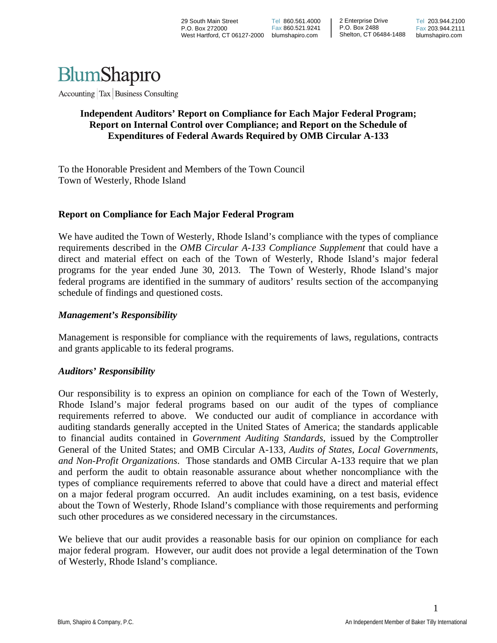

Accounting Tax Business Consulting

### **Independent Auditors' Report on Compliance for Each Major Federal Program; Report on Internal Control over Compliance; and Report on the Schedule of Expenditures of Federal Awards Required by OMB Circular A-133**

To the Honorable President and Members of the Town Council Town of Westerly, Rhode Island

#### **Report on Compliance for Each Major Federal Program**

We have audited the Town of Westerly, Rhode Island's compliance with the types of compliance requirements described in the *OMB Circular A-133 Compliance Supplement* that could have a direct and material effect on each of the Town of Westerly, Rhode Island's major federal programs for the year ended June 30, 2013. The Town of Westerly, Rhode Island's major federal programs are identified in the summary of auditors' results section of the accompanying schedule of findings and questioned costs.

#### *Management's Responsibility*

Management is responsible for compliance with the requirements of laws, regulations, contracts and grants applicable to its federal programs.

#### *Auditors' Responsibility*

Our responsibility is to express an opinion on compliance for each of the Town of Westerly, Rhode Island's major federal programs based on our audit of the types of compliance requirements referred to above. We conducted our audit of compliance in accordance with auditing standards generally accepted in the United States of America; the standards applicable to financial audits contained in *Government Auditing Standards*, issued by the Comptroller General of the United States; and OMB Circular A-133, *Audits of States, Local Governments, and Non-Profit Organizations*. Those standards and OMB Circular A-133 require that we plan and perform the audit to obtain reasonable assurance about whether noncompliance with the types of compliance requirements referred to above that could have a direct and material effect on a major federal program occurred. An audit includes examining, on a test basis, evidence about the Town of Westerly, Rhode Island's compliance with those requirements and performing such other procedures as we considered necessary in the circumstances.

We believe that our audit provides a reasonable basis for our opinion on compliance for each major federal program. However, our audit does not provide a legal determination of the Town of Westerly, Rhode Island's compliance.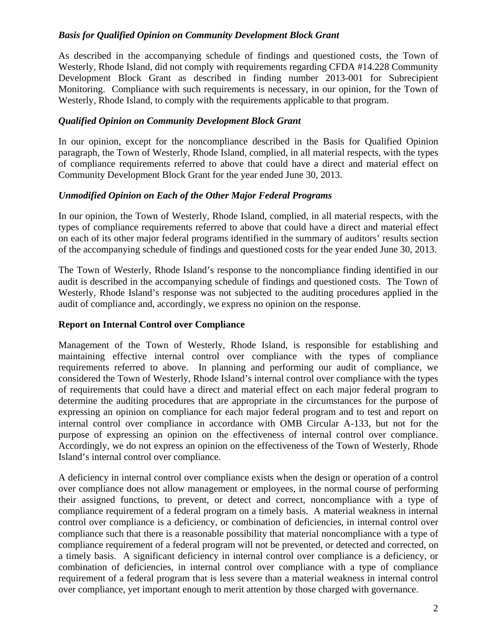# *Basis for Qualified Opinion on Community Development Block Grant*

As described in the accompanying schedule of findings and questioned costs, the Town of Westerly, Rhode Island, did not comply with requirements regarding CFDA #14.228 Community Development Block Grant as described in finding number 2013-001 for Subrecipient Monitoring. Compliance with such requirements is necessary, in our opinion, for the Town of Westerly, Rhode Island, to comply with the requirements applicable to that program.

# *Qualified Opinion on Community Development Block Grant*

In our opinion, except for the noncompliance described in the Basis for Qualified Opinion paragraph, the Town of Westerly, Rhode Island, complied, in all material respects, with the types of compliance requirements referred to above that could have a direct and material effect on Community Development Block Grant for the year ended June 30, 2013.

# *Unmodified Opinion on Each of the Other Major Federal Programs*

In our opinion, the Town of Westerly, Rhode Island, complied, in all material respects, with the types of compliance requirements referred to above that could have a direct and material effect on each of its other major federal programs identified in the summary of auditors' results section of the accompanying schedule of findings and questioned costs for the year ended June 30, 2013.

The Town of Westerly, Rhode Island's response to the noncompliance finding identified in our audit is described in the accompanying schedule of findings and questioned costs. The Town of Westerly, Rhode Island's response was not subjected to the auditing procedures applied in the audit of compliance and, accordingly, we express no opinion on the response.

# **Report on Internal Control over Compliance**

Management of the Town of Westerly, Rhode Island, is responsible for establishing and maintaining effective internal control over compliance with the types of compliance requirements referred to above. In planning and performing our audit of compliance, we considered the Town of Westerly, Rhode Island's internal control over compliance with the types of requirements that could have a direct and material effect on each major federal program to determine the auditing procedures that are appropriate in the circumstances for the purpose of expressing an opinion on compliance for each major federal program and to test and report on internal control over compliance in accordance with OMB Circular A-133, but not for the purpose of expressing an opinion on the effectiveness of internal control over compliance. Accordingly, we do not express an opinion on the effectiveness of the Town of Westerly, Rhode Island's internal control over compliance.

A deficiency in internal control over compliance exists when the design or operation of a control over compliance does not allow management or employees, in the normal course of performing their assigned functions, to prevent, or detect and correct, noncompliance with a type of compliance requirement of a federal program on a timely basis. A material weakness in internal control over compliance is a deficiency, or combination of deficiencies, in internal control over compliance such that there is a reasonable possibility that material noncompliance with a type of compliance requirement of a federal program will not be prevented, or detected and corrected, on a timely basis. A significant deficiency in internal control over compliance is a deficiency, or combination of deficiencies, in internal control over compliance with a type of compliance requirement of a federal program that is less severe than a material weakness in internal control over compliance, yet important enough to merit attention by those charged with governance.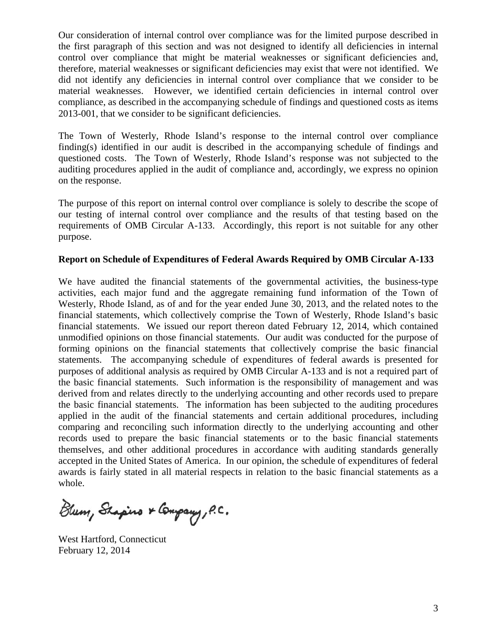Our consideration of internal control over compliance was for the limited purpose described in the first paragraph of this section and was not designed to identify all deficiencies in internal control over compliance that might be material weaknesses or significant deficiencies and, therefore, material weaknesses or significant deficiencies may exist that were not identified. We did not identify any deficiencies in internal control over compliance that we consider to be material weaknesses. However, we identified certain deficiencies in internal control over compliance, as described in the accompanying schedule of findings and questioned costs as items 2013-001, that we consider to be significant deficiencies.

The Town of Westerly, Rhode Island's response to the internal control over compliance finding(s) identified in our audit is described in the accompanying schedule of findings and questioned costs. The Town of Westerly, Rhode Island's response was not subjected to the auditing procedures applied in the audit of compliance and, accordingly, we express no opinion on the response.

The purpose of this report on internal control over compliance is solely to describe the scope of our testing of internal control over compliance and the results of that testing based on the requirements of OMB Circular A-133. Accordingly, this report is not suitable for any other purpose.

#### **Report on Schedule of Expenditures of Federal Awards Required by OMB Circular A-133**

We have audited the financial statements of the governmental activities, the business-type activities, each major fund and the aggregate remaining fund information of the Town of Westerly, Rhode Island, as of and for the year ended June 30, 2013, and the related notes to the financial statements, which collectively comprise the Town of Westerly, Rhode Island's basic financial statements. We issued our report thereon dated February 12, 2014, which contained unmodified opinions on those financial statements. Our audit was conducted for the purpose of forming opinions on the financial statements that collectively comprise the basic financial statements. The accompanying schedule of expenditures of federal awards is presented for purposes of additional analysis as required by OMB Circular A-133 and is not a required part of the basic financial statements. Such information is the responsibility of management and was derived from and relates directly to the underlying accounting and other records used to prepare the basic financial statements. The information has been subjected to the auditing procedures applied in the audit of the financial statements and certain additional procedures, including comparing and reconciling such information directly to the underlying accounting and other records used to prepare the basic financial statements or to the basic financial statements themselves, and other additional procedures in accordance with auditing standards generally accepted in the United States of America. In our opinion, the schedule of expenditures of federal awards is fairly stated in all material respects in relation to the basic financial statements as a whole.

Blum, Shapino & Company, P.C.

West Hartford, Connecticut February 12, 2014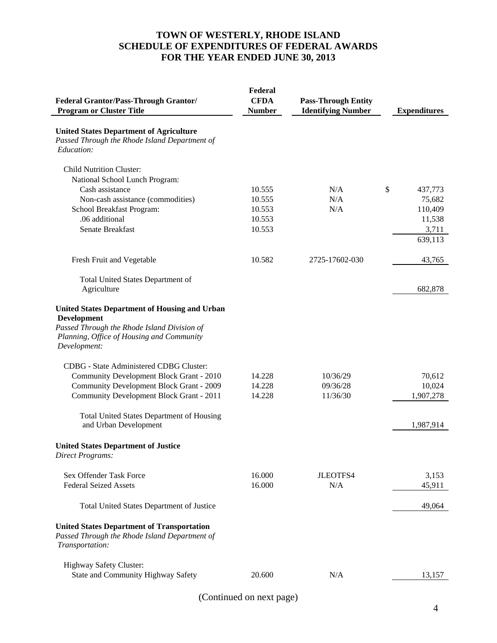# **TOWN OF WESTERLY, RHODE ISLAND SCHEDULE OF EXPENDITURES OF FEDERAL AWARDS FOR THE YEAR ENDED JUNE 30, 2013**

|                                                                                                                                                                                        | Federal       |                            |                     |
|----------------------------------------------------------------------------------------------------------------------------------------------------------------------------------------|---------------|----------------------------|---------------------|
| <b>Federal Grantor/Pass-Through Grantor/</b>                                                                                                                                           | <b>CFDA</b>   | <b>Pass-Through Entity</b> |                     |
| <b>Program or Cluster Title</b>                                                                                                                                                        | <b>Number</b> | <b>Identifying Number</b>  | <b>Expenditures</b> |
| <b>United States Department of Agriculture</b><br>Passed Through the Rhode Island Department of<br>Education:                                                                          |               |                            |                     |
| <b>Child Nutrition Cluster:</b>                                                                                                                                                        |               |                            |                     |
| National School Lunch Program:                                                                                                                                                         |               |                            |                     |
| Cash assistance                                                                                                                                                                        | 10.555        | N/A                        | \$<br>437,773       |
| Non-cash assistance (commodities)                                                                                                                                                      | 10.555        | N/A                        | 75,682              |
| School Breakfast Program:                                                                                                                                                              | 10.553        | N/A                        | 110,409             |
| .06 additional                                                                                                                                                                         | 10.553        |                            | 11,538              |
| Senate Breakfast                                                                                                                                                                       | 10.553        |                            | 3,711               |
|                                                                                                                                                                                        |               |                            | 639,113             |
| Fresh Fruit and Vegetable                                                                                                                                                              | 10.582        | 2725-17602-030             | 43,765              |
| Total United States Department of                                                                                                                                                      |               |                            |                     |
| Agriculture                                                                                                                                                                            |               |                            | 682,878             |
| <b>United States Department of Housing and Urban</b><br><b>Development</b><br>Passed Through the Rhode Island Division of<br>Planning, Office of Housing and Community<br>Development: |               |                            |                     |
| CDBG - State Administered CDBG Cluster:                                                                                                                                                |               |                            |                     |
| Community Development Block Grant - 2010                                                                                                                                               | 14.228        | 10/36/29                   | 70,612              |
| <b>Community Development Block Grant - 2009</b>                                                                                                                                        | 14.228        | 09/36/28                   | 10,024              |
| Community Development Block Grant - 2011                                                                                                                                               | 14.228        | 11/36/30                   | 1,907,278           |
| <b>Total United States Department of Housing</b><br>and Urban Development                                                                                                              |               |                            | 1,987,914           |
| <b>United States Department of Justice</b><br><b>Direct Programs:</b>                                                                                                                  |               |                            |                     |
| Sex Offender Task Force                                                                                                                                                                | 16.000        | JLEOTFS4                   | 3,153               |
| <b>Federal Seized Assets</b>                                                                                                                                                           | 16.000        | N/A                        | 45,911              |
| Total United States Department of Justice                                                                                                                                              |               |                            | 49,064              |
| <b>United States Department of Transportation</b><br>Passed Through the Rhode Island Department of<br>Transportation:                                                                  |               |                            |                     |
| Highway Safety Cluster:                                                                                                                                                                |               |                            |                     |
| State and Community Highway Safety                                                                                                                                                     | 20.600        | N/A                        | 13,157              |
|                                                                                                                                                                                        |               |                            |                     |

(Continued on next page)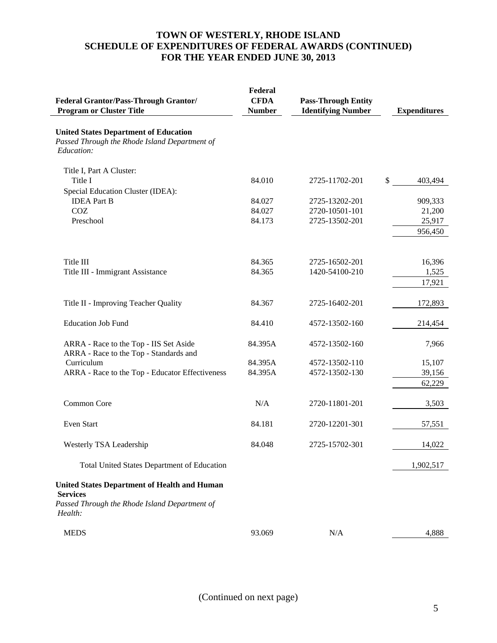# **TOWN OF WESTERLY, RHODE ISLAND SCHEDULE OF EXPENDITURES OF FEDERAL AWARDS (CONTINUED) FOR THE YEAR ENDED JUNE 30, 2013**

| <b>Federal Grantor/Pass-Through Grantor/</b><br><b>Program or Cluster Title</b>                                                    | Federal<br><b>CFDA</b><br><b>Number</b> | <b>Pass-Through Entity</b><br><b>Identifying Number</b> | <b>Expenditures</b> |
|------------------------------------------------------------------------------------------------------------------------------------|-----------------------------------------|---------------------------------------------------------|---------------------|
| <b>United States Department of Education</b><br>Passed Through the Rhode Island Department of<br>Education:                        |                                         |                                                         |                     |
| Title I, Part A Cluster:                                                                                                           |                                         |                                                         |                     |
| Title I                                                                                                                            | 84.010                                  | 2725-11702-201                                          | \$<br>403,494       |
| Special Education Cluster (IDEA):                                                                                                  |                                         |                                                         |                     |
| <b>IDEA</b> Part B                                                                                                                 | 84.027                                  | 2725-13202-201                                          | 909,333             |
| COZ                                                                                                                                | 84.027                                  | 2720-10501-101                                          | 21,200              |
| Preschool                                                                                                                          | 84.173                                  | 2725-13502-201                                          | 25,917              |
|                                                                                                                                    |                                         |                                                         | 956,450             |
| Title III                                                                                                                          | 84.365                                  | 2725-16502-201                                          | 16,396              |
| Title III - Immigrant Assistance                                                                                                   | 84.365                                  | 1420-54100-210                                          | 1,525               |
|                                                                                                                                    |                                         |                                                         | 17,921              |
| Title II - Improving Teacher Quality                                                                                               | 84.367                                  | 2725-16402-201                                          | 172,893             |
| <b>Education Job Fund</b>                                                                                                          | 84.410                                  | 4572-13502-160                                          | 214,454             |
| ARRA - Race to the Top - IIS Set Aside<br>ARRA - Race to the Top - Standards and                                                   | 84.395A                                 | 4572-13502-160                                          | 7,966               |
| Curriculum                                                                                                                         | 84.395A                                 | 4572-13502-110                                          | 15,107              |
| ARRA - Race to the Top - Educator Effectiveness                                                                                    | 84.395A                                 | 4572-13502-130                                          | 39,156              |
|                                                                                                                                    |                                         |                                                         | 62,229              |
| Common Core                                                                                                                        | N/A                                     | 2720-11801-201                                          | 3,503               |
| Even Start                                                                                                                         | 84.181                                  | 2720-12201-301                                          | 57,551              |
| Westerly TSA Leadership                                                                                                            | 84.048                                  | 2725-15702-301                                          | 14,022              |
| Total United States Department of Education                                                                                        |                                         |                                                         | 1,902,517           |
| <b>United States Department of Health and Human</b><br><b>Services</b><br>Passed Through the Rhode Island Department of<br>Health: |                                         |                                                         |                     |
| <b>MEDS</b>                                                                                                                        | 93.069                                  | N/A                                                     | 4,888               |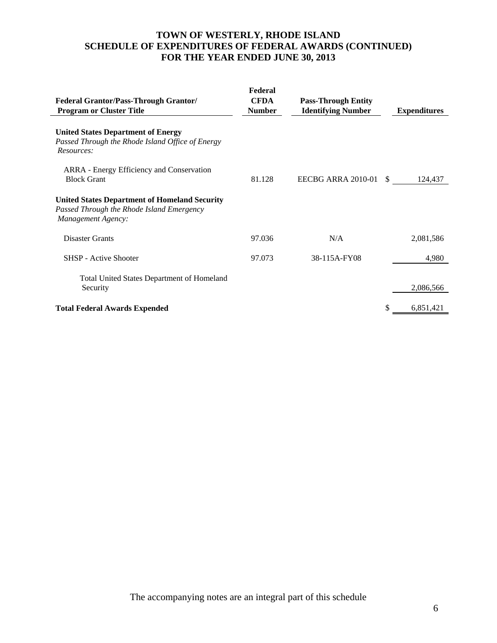# **TOWN OF WESTERLY, RHODE ISLAND SCHEDULE OF EXPENDITURES OF FEDERAL AWARDS (CONTINUED) FOR THE YEAR ENDED JUNE 30, 2013**

| <b>Federal Grantor/Pass-Through Grantor/</b><br><b>Program or Cluster Title</b>                                         | Federal<br><b>CFDA</b><br><b>Number</b> | <b>Pass-Through Entity</b><br><b>Identifying Number</b> |               | <b>Expenditures</b> |
|-------------------------------------------------------------------------------------------------------------------------|-----------------------------------------|---------------------------------------------------------|---------------|---------------------|
| <b>United States Department of Energy</b><br>Passed Through the Rhode Island Office of Energy<br>Resources:             |                                         |                                                         |               |                     |
| ARRA - Energy Efficiency and Conservation<br><b>Block Grant</b>                                                         | 81.128                                  | EECBG ARRA 2010-01                                      | <sup>\$</sup> | 124,437             |
| <b>United States Department of Homeland Security</b><br>Passed Through the Rhode Island Emergency<br>Management Agency: |                                         |                                                         |               |                     |
| <b>Disaster Grants</b>                                                                                                  | 97.036                                  | N/A                                                     |               | 2,081,586           |
| <b>SHSP</b> - Active Shooter                                                                                            | 97.073                                  | 38-115A-FY08                                            |               | 4,980               |
| <b>Total United States Department of Homeland</b><br>Security                                                           |                                         |                                                         |               | 2,086,566           |
| <b>Total Federal Awards Expended</b>                                                                                    |                                         |                                                         |               | 6,851,421           |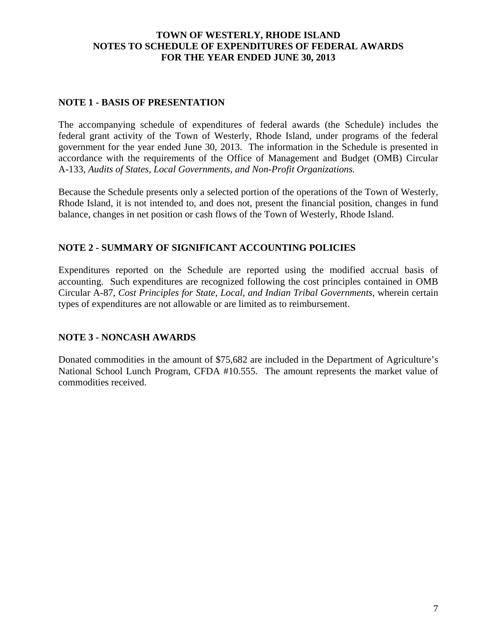### **TOWN OF WESTERLY, RHODE ISLAND NOTES TO SCHEDULE OF EXPENDITURES OF FEDERAL AWARDS FOR THE YEAR ENDED JUNE 30, 2013**

#### **NOTE 1 - BASIS OF PRESENTATION**

The accompanying schedule of expenditures of federal awards (the Schedule) includes the federal grant activity of the Town of Westerly, Rhode Island, under programs of the federal government for the year ended June 30, 2013. The information in the Schedule is presented in accordance with the requirements of the Office of Management and Budget (OMB) Circular A-133, *Audits of States, Local Governments, and Non-Profit Organizations.*

Because the Schedule presents only a selected portion of the operations of the Town of Westerly, Rhode Island, it is not intended to, and does not, present the financial position, changes in fund balance, changes in net position or cash flows of the Town of Westerly, Rhode Island.

### **NOTE 2 - SUMMARY OF SIGNIFICANT ACCOUNTING POLICIES**

Expenditures reported on the Schedule are reported using the modified accrual basis of accounting. Such expenditures are recognized following the cost principles contained in OMB Circular A-87, *Cost Principles for State, Local, and Indian Tribal Governments*, wherein certain types of expenditures are not allowable or are limited as to reimbursement.

#### **NOTE 3 - NONCASH AWARDS**

Donated commodities in the amount of \$75,682 are included in the Department of Agriculture's National School Lunch Program, CFDA #10.555. The amount represents the market value of commodities received.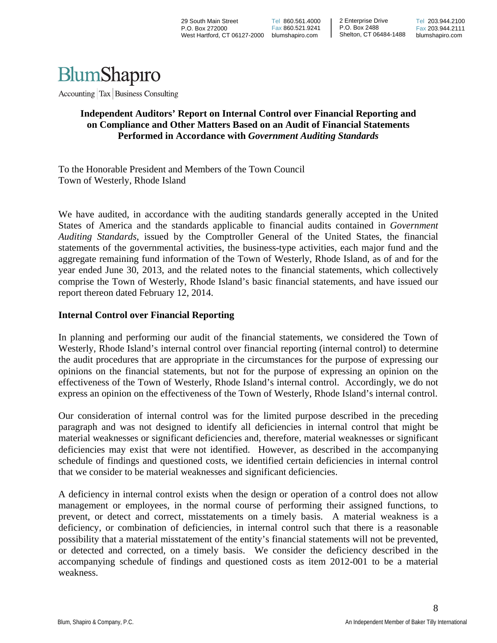

Accounting Tax Business Consulting

### **Independent Auditors' Report on Internal Control over Financial Reporting and on Compliance and Other Matters Based on an Audit of Financial Statements Performed in Accordance with** *Government Auditing Standards*

To the Honorable President and Members of the Town Council Town of Westerly, Rhode Island

We have audited, in accordance with the auditing standards generally accepted in the United States of America and the standards applicable to financial audits contained in *Government Auditing Standards*, issued by the Comptroller General of the United States, the financial statements of the governmental activities, the business-type activities, each major fund and the aggregate remaining fund information of the Town of Westerly, Rhode Island, as of and for the year ended June 30, 2013, and the related notes to the financial statements, which collectively comprise the Town of Westerly, Rhode Island's basic financial statements, and have issued our report thereon dated February 12, 2014.

#### **Internal Control over Financial Reporting**

In planning and performing our audit of the financial statements, we considered the Town of Westerly, Rhode Island's internal control over financial reporting (internal control) to determine the audit procedures that are appropriate in the circumstances for the purpose of expressing our opinions on the financial statements, but not for the purpose of expressing an opinion on the effectiveness of the Town of Westerly, Rhode Island's internal control. Accordingly, we do not express an opinion on the effectiveness of the Town of Westerly, Rhode Island's internal control.

Our consideration of internal control was for the limited purpose described in the preceding paragraph and was not designed to identify all deficiencies in internal control that might be material weaknesses or significant deficiencies and, therefore, material weaknesses or significant deficiencies may exist that were not identified. However, as described in the accompanying schedule of findings and questioned costs, we identified certain deficiencies in internal control that we consider to be material weaknesses and significant deficiencies.

A deficiency in internal control exists when the design or operation of a control does not allow management or employees, in the normal course of performing their assigned functions, to prevent, or detect and correct, misstatements on a timely basis. A material weakness is a deficiency, or combination of deficiencies, in internal control such that there is a reasonable possibility that a material misstatement of the entity's financial statements will not be prevented, or detected and corrected, on a timely basis. We consider the deficiency described in the accompanying schedule of findings and questioned costs as item 2012-001 to be a material weakness.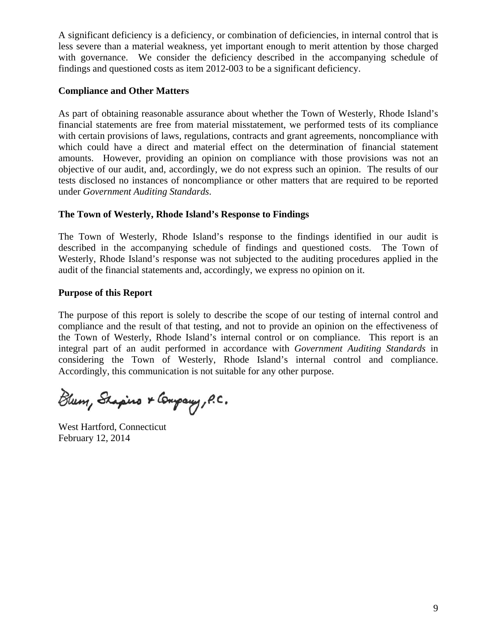A significant deficiency is a deficiency, or combination of deficiencies, in internal control that is less severe than a material weakness, yet important enough to merit attention by those charged with governance. We consider the deficiency described in the accompanying schedule of findings and questioned costs as item 2012-003 to be a significant deficiency.

### **Compliance and Other Matters**

As part of obtaining reasonable assurance about whether the Town of Westerly, Rhode Island's financial statements are free from material misstatement, we performed tests of its compliance with certain provisions of laws, regulations, contracts and grant agreements, noncompliance with which could have a direct and material effect on the determination of financial statement amounts. However, providing an opinion on compliance with those provisions was not an objective of our audit, and, accordingly, we do not express such an opinion. The results of our tests disclosed no instances of noncompliance or other matters that are required to be reported under *Government Auditing Standards*.

#### **The Town of Westerly, Rhode Island's Response to Findings**

The Town of Westerly, Rhode Island's response to the findings identified in our audit is described in the accompanying schedule of findings and questioned costs. The Town of Westerly, Rhode Island's response was not subjected to the auditing procedures applied in the audit of the financial statements and, accordingly, we express no opinion on it.

#### **Purpose of this Report**

The purpose of this report is solely to describe the scope of our testing of internal control and compliance and the result of that testing, and not to provide an opinion on the effectiveness of the Town of Westerly, Rhode Island's internal control or on compliance. This report is an integral part of an audit performed in accordance with *Government Auditing Standards* in considering the Town of Westerly, Rhode Island's internal control and compliance. Accordingly, this communication is not suitable for any other purpose.

Blum, Shapino & Company, P.C.

West Hartford, Connecticut February 12, 2014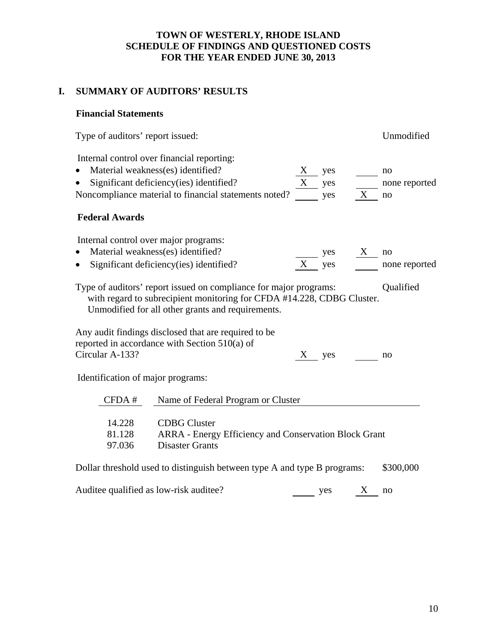# **TOWN OF WESTERLY, RHODE ISLAND SCHEDULE OF FINDINGS AND QUESTIONED COSTS FOR THE YEAR ENDED JUNE 30, 2013**

# **I. SUMMARY OF AUDITORS' RESULTS**

# **Financial Statements**

| Type of auditors' report issued:                                                |                                                                                                                                                                                                  | Unmodified |                   |                           |                           |
|---------------------------------------------------------------------------------|--------------------------------------------------------------------------------------------------------------------------------------------------------------------------------------------------|------------|-------------------|---------------------------|---------------------------|
| Internal control over financial reporting:<br>Material weakness(es) identified? | Significant deficiency(ies) identified?<br>Noncompliance material to financial statements noted?                                                                                                 | X<br>X     | yes<br>yes<br>yes | X                         | no<br>none reported<br>no |
| <b>Federal Awards</b>                                                           |                                                                                                                                                                                                  |            |                   |                           |                           |
| Internal control over major programs:<br>Material weakness(es) identified?      | Significant deficiency (ies) identified?                                                                                                                                                         | X          | yes<br>yes        | $\boldsymbol{\mathrm{X}}$ | no<br>none reported       |
|                                                                                 | Type of auditors' report issued on compliance for major programs:<br>with regard to subrecipient monitoring for CFDA #14.228, CDBG Cluster.<br>Unmodified for all other grants and requirements. |            |                   |                           | Qualified                 |
| Circular A-133?                                                                 | Any audit findings disclosed that are required to be<br>reported in accordance with Section $510(a)$ of                                                                                          | X          | yes               |                           | no                        |
| Identification of major programs:                                               |                                                                                                                                                                                                  |            |                   |                           |                           |
| CFDA #                                                                          | Name of Federal Program or Cluster                                                                                                                                                               |            |                   |                           |                           |
| 14.228<br>81.128<br>97.036                                                      | <b>CDBG</b> Cluster<br>ARRA - Energy Efficiency and Conservation Block Grant<br><b>Disaster Grants</b>                                                                                           |            |                   |                           |                           |
|                                                                                 | Dollar threshold used to distinguish between type A and type B programs:                                                                                                                         |            |                   |                           | \$300,000                 |
| Auditee qualified as low-risk auditee?                                          |                                                                                                                                                                                                  |            | yes               | X                         | no                        |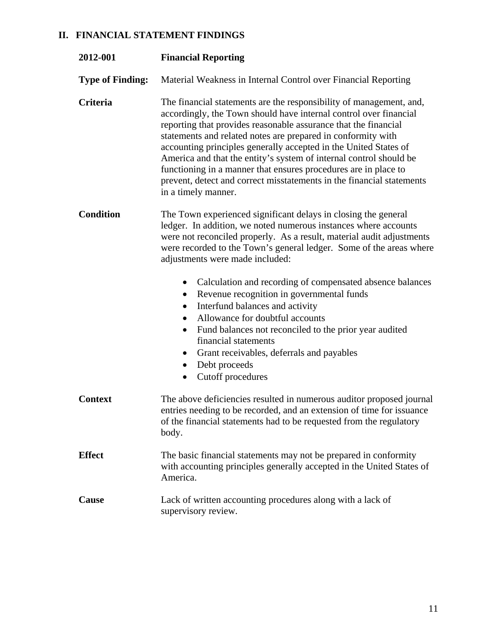# **II. FINANCIAL STATEMENT FINDINGS**

| 2012-001                | <b>Financial Reporting</b>                                                                                                                                                                                                                                                                                                                                                                                                                                                                                                                                                                                                                                                                                                                                           |
|-------------------------|----------------------------------------------------------------------------------------------------------------------------------------------------------------------------------------------------------------------------------------------------------------------------------------------------------------------------------------------------------------------------------------------------------------------------------------------------------------------------------------------------------------------------------------------------------------------------------------------------------------------------------------------------------------------------------------------------------------------------------------------------------------------|
| <b>Type of Finding:</b> | Material Weakness in Internal Control over Financial Reporting                                                                                                                                                                                                                                                                                                                                                                                                                                                                                                                                                                                                                                                                                                       |
| Criteria                | The financial statements are the responsibility of management, and,<br>accordingly, the Town should have internal control over financial<br>reporting that provides reasonable assurance that the financial<br>statements and related notes are prepared in conformity with<br>accounting principles generally accepted in the United States of<br>America and that the entity's system of internal control should be<br>functioning in a manner that ensures procedures are in place to<br>prevent, detect and correct misstatements in the financial statements<br>in a timely manner.                                                                                                                                                                             |
| <b>Condition</b>        | The Town experienced significant delays in closing the general<br>ledger. In addition, we noted numerous instances where accounts<br>were not reconciled properly. As a result, material audit adjustments<br>were recorded to the Town's general ledger. Some of the areas where<br>adjustments were made included:<br>Calculation and recording of compensated absence balances<br>$\bullet$<br>Revenue recognition in governmental funds<br>$\bullet$<br>Interfund balances and activity<br>$\bullet$<br>Allowance for doubtful accounts<br>Fund balances not reconciled to the prior year audited<br>$\bullet$<br>financial statements<br>Grant receivables, deferrals and payables<br>$\bullet$<br>Debt proceeds<br>$\bullet$<br>Cutoff procedures<br>$\bullet$ |
| <b>Context</b>          | The above deficiencies resulted in numerous auditor proposed journal<br>entries needing to be recorded, and an extension of time for issuance<br>of the financial statements had to be requested from the regulatory<br>body.                                                                                                                                                                                                                                                                                                                                                                                                                                                                                                                                        |
| <b>Effect</b>           | The basic financial statements may not be prepared in conformity<br>with accounting principles generally accepted in the United States of<br>America.                                                                                                                                                                                                                                                                                                                                                                                                                                                                                                                                                                                                                |
| Cause                   | Lack of written accounting procedures along with a lack of<br>supervisory review.                                                                                                                                                                                                                                                                                                                                                                                                                                                                                                                                                                                                                                                                                    |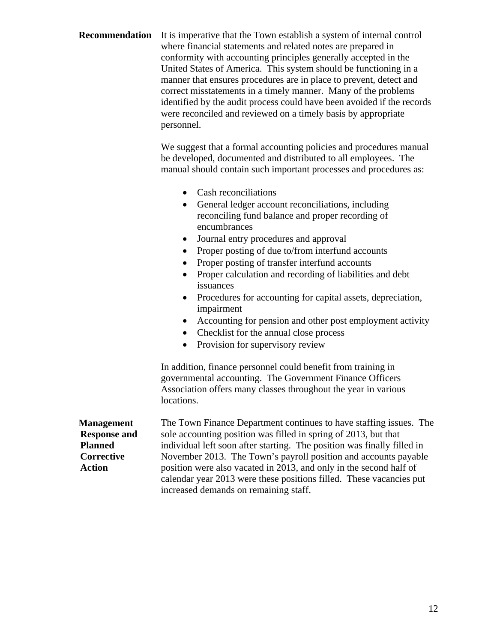| Recommendation                                                                            | It is imperative that the Town establish a system of internal control<br>where financial statements and related notes are prepared in<br>conformity with accounting principles generally accepted in the<br>United States of America. This system should be functioning in a<br>manner that ensures procedures are in place to prevent, detect and<br>correct misstatements in a timely manner. Many of the problems<br>identified by the audit process could have been avoided if the records<br>were reconciled and reviewed on a timely basis by appropriate<br>personnel.                                                                                                           |  |  |
|-------------------------------------------------------------------------------------------|-----------------------------------------------------------------------------------------------------------------------------------------------------------------------------------------------------------------------------------------------------------------------------------------------------------------------------------------------------------------------------------------------------------------------------------------------------------------------------------------------------------------------------------------------------------------------------------------------------------------------------------------------------------------------------------------|--|--|
|                                                                                           | We suggest that a formal accounting policies and procedures manual<br>be developed, documented and distributed to all employees. The<br>manual should contain such important processes and procedures as:                                                                                                                                                                                                                                                                                                                                                                                                                                                                               |  |  |
|                                                                                           | Cash reconciliations<br>$\bullet$<br>General ledger account reconciliations, including<br>reconciling fund balance and proper recording of<br>encumbrances<br>Journal entry procedures and approval<br>Proper posting of due to/from interfund accounts<br>$\bullet$<br>Proper posting of transfer interfund accounts<br>Proper calculation and recording of liabilities and debt<br>$\bullet$<br>issuances<br>Procedures for accounting for capital assets, depreciation,<br>$\bullet$<br>impairment<br>Accounting for pension and other post employment activity<br>$\bullet$<br>Checklist for the annual close process<br>$\bullet$<br>Provision for supervisory review<br>$\bullet$ |  |  |
|                                                                                           | In addition, finance personnel could benefit from training in<br>governmental accounting. The Government Finance Officers<br>Association offers many classes throughout the year in various<br>locations.                                                                                                                                                                                                                                                                                                                                                                                                                                                                               |  |  |
| <b>Management</b><br><b>Response and</b><br><b>Planned</b><br>Corrective<br><b>Action</b> | The Town Finance Department continues to have staffing issues. The<br>sole accounting position was filled in spring of 2013, but that<br>individual left soon after starting. The position was finally filled in<br>November 2013. The Town's payroll position and accounts payable<br>position were also vacated in 2013, and only in the second half of<br>calendar year 2013 were these positions filled. These vacancies put                                                                                                                                                                                                                                                        |  |  |

increased demands on remaining staff.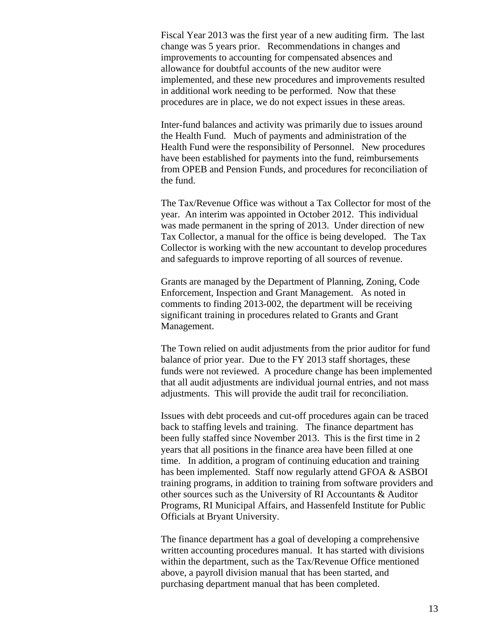Fiscal Year 2013 was the first year of a new auditing firm. The last change was 5 years prior. Recommendations in changes and improvements to accounting for compensated absences and allowance for doubtful accounts of the new auditor were implemented, and these new procedures and improvements resulted in additional work needing to be performed. Now that these procedures are in place, we do not expect issues in these areas.

Inter-fund balances and activity was primarily due to issues around the Health Fund. Much of payments and administration of the Health Fund were the responsibility of Personnel. New procedures have been established for payments into the fund, reimbursements from OPEB and Pension Funds, and procedures for reconciliation of the fund.

The Tax/Revenue Office was without a Tax Collector for most of the year. An interim was appointed in October 2012. This individual was made permanent in the spring of 2013. Under direction of new Tax Collector, a manual for the office is being developed. The Tax Collector is working with the new accountant to develop procedures and safeguards to improve reporting of all sources of revenue.

Grants are managed by the Department of Planning, Zoning, Code Enforcement, Inspection and Grant Management. As noted in comments to finding 2013-002, the department will be receiving significant training in procedures related to Grants and Grant Management.

The Town relied on audit adjustments from the prior auditor for fund balance of prior year. Due to the FY 2013 staff shortages, these funds were not reviewed. A procedure change has been implemented that all audit adjustments are individual journal entries, and not mass adjustments. This will provide the audit trail for reconciliation.

Issues with debt proceeds and cut-off procedures again can be traced back to staffing levels and training. The finance department has been fully staffed since November 2013. This is the first time in 2 years that all positions in the finance area have been filled at one time. In addition, a program of continuing education and training has been implemented. Staff now regularly attend GFOA & ASBOI training programs, in addition to training from software providers and other sources such as the University of RI Accountants & Auditor Programs, RI Municipal Affairs, and Hassenfeld Institute for Public Officials at Bryant University.

The finance department has a goal of developing a comprehensive written accounting procedures manual. It has started with divisions within the department, such as the Tax/Revenue Office mentioned above, a payroll division manual that has been started, and purchasing department manual that has been completed.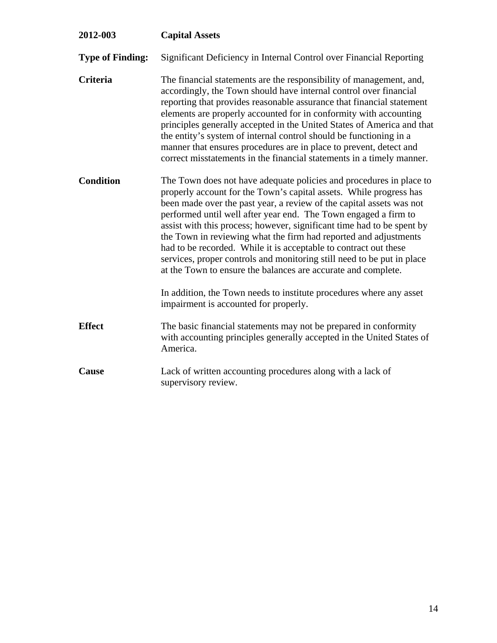| 2012-003                | <b>Capital Assets</b>                                                                                                                                                                                                                                                                                                                                                                                                                                                                                                                                                                                                                             |
|-------------------------|---------------------------------------------------------------------------------------------------------------------------------------------------------------------------------------------------------------------------------------------------------------------------------------------------------------------------------------------------------------------------------------------------------------------------------------------------------------------------------------------------------------------------------------------------------------------------------------------------------------------------------------------------|
| <b>Type of Finding:</b> | Significant Deficiency in Internal Control over Financial Reporting                                                                                                                                                                                                                                                                                                                                                                                                                                                                                                                                                                               |
| <b>Criteria</b>         | The financial statements are the responsibility of management, and,<br>accordingly, the Town should have internal control over financial<br>reporting that provides reasonable assurance that financial statement<br>elements are properly accounted for in conformity with accounting<br>principles generally accepted in the United States of America and that<br>the entity's system of internal control should be functioning in a<br>manner that ensures procedures are in place to prevent, detect and<br>correct misstatements in the financial statements in a timely manner.                                                             |
| <b>Condition</b>        | The Town does not have adequate policies and procedures in place to<br>properly account for the Town's capital assets. While progress has<br>been made over the past year, a review of the capital assets was not<br>performed until well after year end. The Town engaged a firm to<br>assist with this process; however, significant time had to be spent by<br>the Town in reviewing what the firm had reported and adjustments<br>had to be recorded. While it is acceptable to contract out these<br>services, proper controls and monitoring still need to be put in place<br>at the Town to ensure the balances are accurate and complete. |
|                         | In addition, the Town needs to institute procedures where any asset<br>impairment is accounted for properly.                                                                                                                                                                                                                                                                                                                                                                                                                                                                                                                                      |
| <b>Effect</b>           | The basic financial statements may not be prepared in conformity<br>with accounting principles generally accepted in the United States of<br>America.                                                                                                                                                                                                                                                                                                                                                                                                                                                                                             |
| Cause                   | Lack of written accounting procedures along with a lack of<br>supervisory review.                                                                                                                                                                                                                                                                                                                                                                                                                                                                                                                                                                 |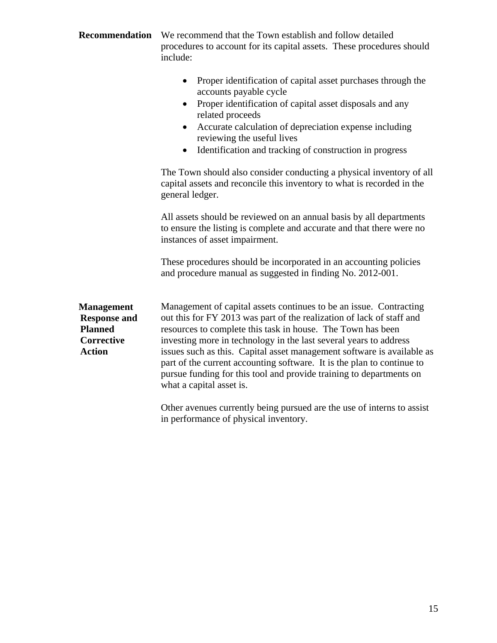| Recommendation                                                                                   | We recommend that the Town establish and follow detailed<br>procedures to account for its capital assets. These procedures should<br>include:                                                                                                                                                                                                                                                                                                                                                                                                                                                                    |  |  |
|--------------------------------------------------------------------------------------------------|------------------------------------------------------------------------------------------------------------------------------------------------------------------------------------------------------------------------------------------------------------------------------------------------------------------------------------------------------------------------------------------------------------------------------------------------------------------------------------------------------------------------------------------------------------------------------------------------------------------|--|--|
|                                                                                                  | Proper identification of capital asset purchases through the<br>$\bullet$<br>accounts payable cycle<br>Proper identification of capital asset disposals and any<br>$\bullet$<br>related proceeds<br>Accurate calculation of depreciation expense including<br>reviewing the useful lives<br>Identification and tracking of construction in progress<br>$\bullet$                                                                                                                                                                                                                                                 |  |  |
|                                                                                                  | The Town should also consider conducting a physical inventory of all<br>capital assets and reconcile this inventory to what is recorded in the<br>general ledger.                                                                                                                                                                                                                                                                                                                                                                                                                                                |  |  |
|                                                                                                  | All assets should be reviewed on an annual basis by all departments<br>to ensure the listing is complete and accurate and that there were no<br>instances of asset impairment.                                                                                                                                                                                                                                                                                                                                                                                                                                   |  |  |
|                                                                                                  | These procedures should be incorporated in an accounting policies<br>and procedure manual as suggested in finding No. 2012-001.                                                                                                                                                                                                                                                                                                                                                                                                                                                                                  |  |  |
| <b>Management</b><br><b>Response and</b><br><b>Planned</b><br><b>Corrective</b><br><b>Action</b> | Management of capital assets continues to be an issue. Contracting<br>out this for FY 2013 was part of the realization of lack of staff and<br>resources to complete this task in house. The Town has been<br>investing more in technology in the last several years to address<br>issues such as this. Capital asset management software is available as<br>part of the current accounting software. It is the plan to continue to<br>pursue funding for this tool and provide training to departments on<br>what a capital asset is.<br>Other avenues currently being pursued are the use of interns to assist |  |  |
|                                                                                                  | in performance of physical inventory.                                                                                                                                                                                                                                                                                                                                                                                                                                                                                                                                                                            |  |  |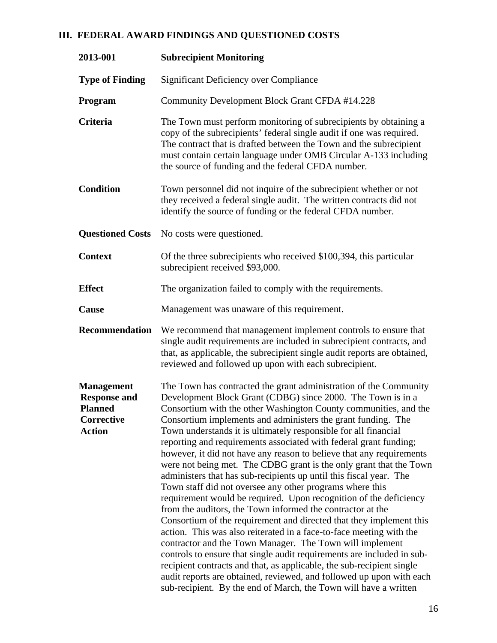# **III. FEDERAL AWARD FINDINGS AND QUESTIONED COSTS**

| 2013-001                                                                                  | <b>Subrecipient Monitoring</b>                                                                                                                                                                                                                                                                                                                                                                                                                                                                                                                                                                                                                                                                                                                                                                                                                                                                                                                                                                                                                                                                                                                                                                                                                                                                                                           |
|-------------------------------------------------------------------------------------------|------------------------------------------------------------------------------------------------------------------------------------------------------------------------------------------------------------------------------------------------------------------------------------------------------------------------------------------------------------------------------------------------------------------------------------------------------------------------------------------------------------------------------------------------------------------------------------------------------------------------------------------------------------------------------------------------------------------------------------------------------------------------------------------------------------------------------------------------------------------------------------------------------------------------------------------------------------------------------------------------------------------------------------------------------------------------------------------------------------------------------------------------------------------------------------------------------------------------------------------------------------------------------------------------------------------------------------------|
| <b>Type of Finding</b>                                                                    | <b>Significant Deficiency over Compliance</b>                                                                                                                                                                                                                                                                                                                                                                                                                                                                                                                                                                                                                                                                                                                                                                                                                                                                                                                                                                                                                                                                                                                                                                                                                                                                                            |
| Program                                                                                   | Community Development Block Grant CFDA #14.228                                                                                                                                                                                                                                                                                                                                                                                                                                                                                                                                                                                                                                                                                                                                                                                                                                                                                                                                                                                                                                                                                                                                                                                                                                                                                           |
| Criteria                                                                                  | The Town must perform monitoring of subrecipients by obtaining a<br>copy of the subrecipients' federal single audit if one was required.<br>The contract that is drafted between the Town and the subrecipient<br>must contain certain language under OMB Circular A-133 including<br>the source of funding and the federal CFDA number.                                                                                                                                                                                                                                                                                                                                                                                                                                                                                                                                                                                                                                                                                                                                                                                                                                                                                                                                                                                                 |
| <b>Condition</b>                                                                          | Town personnel did not inquire of the subrecipient whether or not<br>they received a federal single audit. The written contracts did not<br>identify the source of funding or the federal CFDA number.                                                                                                                                                                                                                                                                                                                                                                                                                                                                                                                                                                                                                                                                                                                                                                                                                                                                                                                                                                                                                                                                                                                                   |
|                                                                                           | <b>Questioned Costs</b> No costs were questioned.                                                                                                                                                                                                                                                                                                                                                                                                                                                                                                                                                                                                                                                                                                                                                                                                                                                                                                                                                                                                                                                                                                                                                                                                                                                                                        |
| <b>Context</b>                                                                            | Of the three subrecipients who received \$100,394, this particular<br>subrecipient received \$93,000.                                                                                                                                                                                                                                                                                                                                                                                                                                                                                                                                                                                                                                                                                                                                                                                                                                                                                                                                                                                                                                                                                                                                                                                                                                    |
| <b>Effect</b>                                                                             | The organization failed to comply with the requirements.                                                                                                                                                                                                                                                                                                                                                                                                                                                                                                                                                                                                                                                                                                                                                                                                                                                                                                                                                                                                                                                                                                                                                                                                                                                                                 |
| Cause                                                                                     | Management was unaware of this requirement.                                                                                                                                                                                                                                                                                                                                                                                                                                                                                                                                                                                                                                                                                                                                                                                                                                                                                                                                                                                                                                                                                                                                                                                                                                                                                              |
| <b>Recommendation</b>                                                                     | We recommend that management implement controls to ensure that<br>single audit requirements are included in subrecipient contracts, and<br>that, as applicable, the subrecipient single audit reports are obtained,<br>reviewed and followed up upon with each subrecipient.                                                                                                                                                                                                                                                                                                                                                                                                                                                                                                                                                                                                                                                                                                                                                                                                                                                                                                                                                                                                                                                             |
| <b>Management</b><br><b>Response and</b><br><b>Planned</b><br>Corrective<br><b>Action</b> | The Town has contracted the grant administration of the Community<br>Development Block Grant (CDBG) since 2000. The Town is in a<br>Consortium with the other Washington County communities, and the<br>Consortium implements and administers the grant funding. The<br>Town understands it is ultimately responsible for all financial<br>reporting and requirements associated with federal grant funding;<br>however, it did not have any reason to believe that any requirements<br>were not being met. The CDBG grant is the only grant that the Town<br>administers that has sub-recipients up until this fiscal year. The<br>Town staff did not oversee any other programs where this<br>requirement would be required. Upon recognition of the deficiency<br>from the auditors, the Town informed the contractor at the<br>Consortium of the requirement and directed that they implement this<br>action. This was also reiterated in a face-to-face meeting with the<br>contractor and the Town Manager. The Town will implement<br>controls to ensure that single audit requirements are included in sub-<br>recipient contracts and that, as applicable, the sub-recipient single<br>audit reports are obtained, reviewed, and followed up upon with each<br>sub-recipient. By the end of March, the Town will have a written |